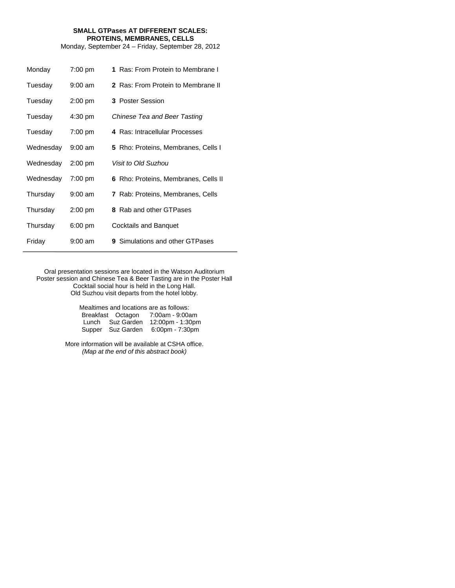# **SMALL GTPases AT DIFFERENT SCALES: PROTEINS, MEMBRANES, CELLS**

Monday, September 24 – Friday, September 28, 2012

| Monday    | $7:00$ pm         | 1 Ras: From Protein to Membrane I          |
|-----------|-------------------|--------------------------------------------|
| Tuesday   | $9:00$ am         | 2 Ras: From Protein to Membrane II         |
| Tuesday   | $2:00$ pm         | 3 Poster Session                           |
| Tuesday   | 4:30 pm           | Chinese Tea and Beer Tasting               |
| Tuesday   | 7:00 pm           | 4 Ras: Intracellular Processes             |
| Wednesday | $9:00 \text{ am}$ | <b>5</b> Rho: Proteins, Membranes, Cells I |
| Wednesday | $2:00$ pm         | Visit to Old Suzhou                        |
| Wednesday | $7:00$ pm         | 6 Rho: Proteins, Membranes, Cells II       |
| Thursday  | $9:00 \text{ am}$ | <b>7</b> Rab: Proteins, Membranes, Cells   |
| Thursday  | $2:00$ pm         | 8 Rab and other GTPases                    |
| Thursday  | 6:00 pm           | Cocktails and Banquet                      |
| Friday    | $9:00 \text{ am}$ | <b>9</b> Simulations and other GTPases     |

Oral presentation sessions are located in the Watson Auditorium Poster session and Chinese Tea & Beer Tasting are in the Poster Hall Cocktail social hour is held in the Long Hall. Old Suzhou visit departs from the hotel lobby.

> Mealtimes and locations are as follows: Breakfast Octagon 7:00am - 9:00am Lunch Suz Garden 12:00pm - 1:30pm Supper Suz Garden 6:00pm - 7:30pm

More information will be available at CSHA office. *(Map at the end of this abstract book)*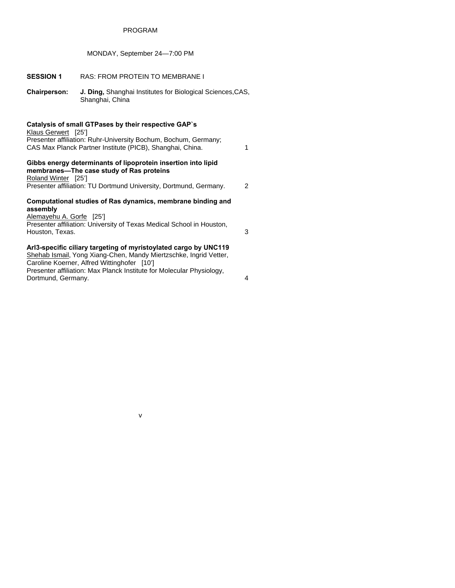# PROGRAM

# MONDAY, September 24—7:00 PM

# **SESSION 1** RAS: FROM PROTEIN TO MEMBRANE I

**Chairperson: J. Ding,** Shanghai Institutes for Biological Sciences,CAS, Shanghai, China

#### **Catalysis of small GTPases by their respective GAP`s**

Klaus Gerwert [25'] Presenter affiliation: Ruhr-University Bochum, Bochum, Germany; CAS Max Planck Partner Institute (PICB), Shanghai, China. 1

# **Gibbs energy determinants of lipoprotein insertion into lipid membranes—The case study of Ras proteins**

Roland Winter [25'] Presenter affiliation: TU Dortmund University, Dortmund, Germany. 2

#### **Computational studies of Ras dynamics, membrane binding and assembly**

Alemayehu A. Gorfe [25'] Presenter affiliation: University of Texas Medical School in Houston, Houston, Texas. 3

# **Arl3-specific ciliary targeting of myristoylated cargo by UNC119**

Shehab Ismail, Yong Xiang-Chen, Mandy Miertzschke, Ingrid Vetter, Caroline Koerner, Alfred Wittinghofer [10'] Presenter affiliation: Max Planck Institute for Molecular Physiology, Dortmund, Germany. 4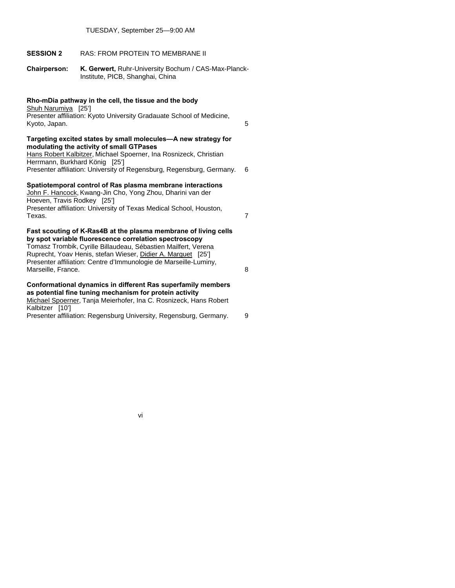# **SESSION 2** RAS: FROM PROTEIN TO MEMBRANE II

**Chairperson: K. Gerwert,** Ruhr-University Bochum / CAS-Max-Planck- Institute, PICB, Shanghai, China

# **Rho-mDia pathway in the cell, the tissue and the body**

Shuh Narumiya [25'] Presenter affiliation: Kyoto University Gradauate School of Medicine, Kyoto, Japan. 5

#### **Targeting excited states by small molecules—A new strategy for modulating the activity of small GTPases**

Hans Robert Kalbitzer, Michael Spoerner, Ina Rosnizeck, Christian Herrmann, Burkhard König [25'] Presenter affiliation: University of Regensburg, Regensburg, Germany. 6

## **Spatiotemporal control of Ras plasma membrane interactions**

John F. Hancock, Kwang-Jin Cho, Yong Zhou, Dharini van der Hoeven, Travis Rodkey [25'] Presenter affiliation: University of Texas Medical School, Houston, Texas. 7

# **Fast scouting of K-Ras4B at the plasma membrane of living cells by spot variable fluorescence correlation spectroscopy**

Tomasz Trombik, Cyrille Billaudeau, Sébastien Mailfert, Verena Ruprecht, Yoav Henis, stefan Wieser, Didier A. Marguet [25'] Presenter affiliation: Centre d'Immunologie de Marseille-Luminy, Marseille, France. 8

# **Conformational dynamics in different Ras superfamily members as potential fine tuning mechanism for protein activity**  Michael Spoerner, Tanja Meierhofer, Ina C. Rosnizeck, Hans Robert Kalbitzer [10']

Presenter affiliation: Regensburg University, Regensburg, Germany. 9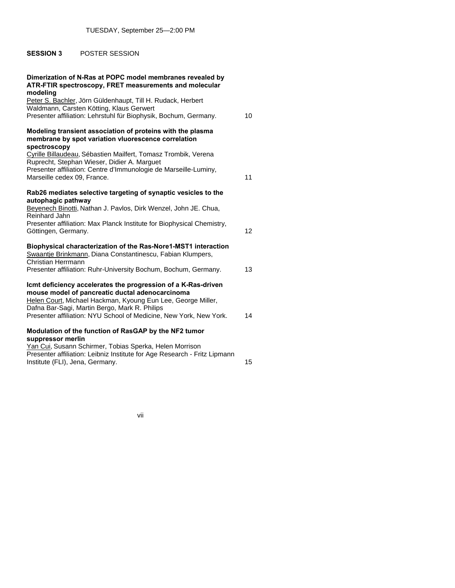# **SESSION 3** POSTER SESSION

| Dimerization of N-Ras at POPC model membranes revealed by<br>ATR-FTIR spectroscopy, FRET measurements and molecular<br>modeling                                                                                                                                                                         |                 |
|---------------------------------------------------------------------------------------------------------------------------------------------------------------------------------------------------------------------------------------------------------------------------------------------------------|-----------------|
| Peter S. Bachler, Jörn Güldenhaupt, Till H. Rudack, Herbert<br>Waldmann, Carsten Kötting, Klaus Gerwert<br>Presenter affiliation: Lehrstuhl für Biophysik, Bochum, Germany.                                                                                                                             | 10              |
| Modeling transient association of proteins with the plasma<br>membrane by spot variation vluorescence correlation<br>spectroscopy                                                                                                                                                                       |                 |
| Cyrille Billaudeau, Sébastien Mailfert, Tomasz Trombik, Verena<br>Ruprecht, Stephan Wieser, Didier A. Marguet<br>Presenter affiliation: Centre d'Immunologie de Marseille-Luminy,<br>Marseille cedex 09, France.                                                                                        | 11              |
| Rab26 mediates selective targeting of synaptic vesicles to the<br>autophagic pathway<br>Beyenech Binotti, Nathan J. Pavlos, Dirk Wenzel, John JE. Chua,<br>Reinhard Jahn                                                                                                                                |                 |
| Presenter affiliation: Max Planck Institute for Biophysical Chemistry,<br>Göttingen, Germany.                                                                                                                                                                                                           | 12 <sup>2</sup> |
| Biophysical characterization of the Ras-Nore1-MST1 interaction<br>Swaantje Brinkmann, Diana Constantinescu, Fabian Klumpers,<br>Christian Herrmann                                                                                                                                                      |                 |
| Presenter affiliation: Ruhr-University Bochum, Bochum, Germany.                                                                                                                                                                                                                                         | 13              |
| Icmt deficiency accelerates the progression of a K-Ras-driven<br>mouse model of pancreatic ductal adenocarcinoma<br>Helen Court, Michael Hackman, Kyoung Eun Lee, George Miller,<br>Dafna Bar-Sagi, Martin Bergo, Mark R. Philips<br>Presenter affiliation: NYU School of Medicine, New York, New York. | 14              |
|                                                                                                                                                                                                                                                                                                         |                 |
| Modulation of the function of RasGAP by the NF2 tumor<br>suppressor merlin                                                                                                                                                                                                                              |                 |
| Yan Cui, Susann Schirmer, Tobias Sperka, Helen Morrison<br>Presenter affiliation: Leibniz Institute for Age Research - Fritz Lipmann<br>Institute (FLI), Jena, Germany.                                                                                                                                 | 15              |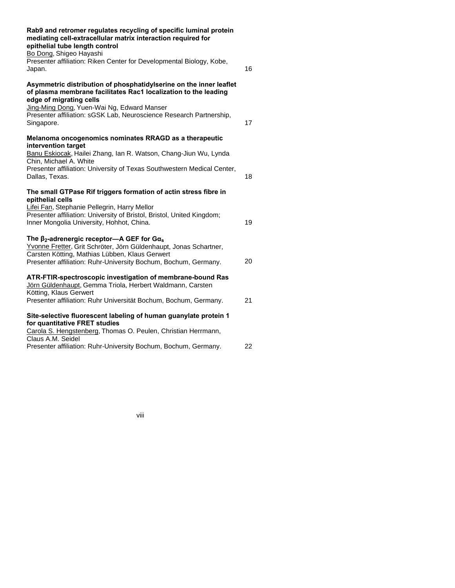| Rab9 and retromer regulates recycling of specific luminal protein<br>mediating cell-extracellular matrix interaction required for<br>epithelial tube length control<br>Bo Dong, Shigeo Hayashi<br>Presenter affiliation: Riken Center for Developmental Biology, Kobe,<br>Japan.                    | 16 |
|-----------------------------------------------------------------------------------------------------------------------------------------------------------------------------------------------------------------------------------------------------------------------------------------------------|----|
| Asymmetric distribution of phosphatidylserine on the inner leaflet<br>of plasma membrane facilitates Rac1 localization to the leading<br>edge of migrating cells<br>Jing-Ming Dong, Yuen-Wai Ng, Edward Manser<br>Presenter affiliation: sGSK Lab, Neuroscience Research Partnership,<br>Singapore. | 17 |
| Melanoma oncogenomics nominates RRAGD as a therapeutic<br>intervention target<br>Banu Eskiocak, Hailei Zhang, Ian R. Watson, Chang-Jiun Wu, Lynda<br>Chin, Michael A. White<br>Presenter affiliation: University of Texas Southwestern Medical Center,<br>Dallas, Texas.                            | 18 |
| The small GTPase Rif triggers formation of actin stress fibre in<br>epithelial cells<br>Lifei Fan, Stephanie Pellegrin, Harry Mellor<br>Presenter affiliation: University of Bristol, Bristol, United Kingdom;<br>Inner Mongolia University, Hohhot, China.                                         | 19 |
| The $\beta_2$ -adrenergic receptor- $A$ GEF for Ga <sub>s</sub><br>Yvonne Fretter, Grit Schröter, Jörn Güldenhaupt, Jonas Schartner,<br>Carsten Kötting, Mathias Lübben, Klaus Gerwert<br>Presenter affiliation: Ruhr-University Bochum, Bochum, Germany.                                           | 20 |
| ATR-FTIR-spectroscopic investigation of membrane-bound Ras<br>Jörn Güldenhaupt, Gemma Triola, Herbert Waldmann, Carsten<br>Kötting, Klaus Gerwert<br>Presenter affiliation: Ruhr Universität Bochum, Bochum, Germany.                                                                               | 21 |
| Site-selective fluorescent labeling of human guanylate protein 1<br>for quantitative FRET studies<br>Carola S. Hengstenberg, Thomas O. Peulen, Christian Herrmann,<br>Claus A.M. Seidel<br>Presenter affiliation: Ruhr-University Bochum, Bochum, Germany.                                          | 22 |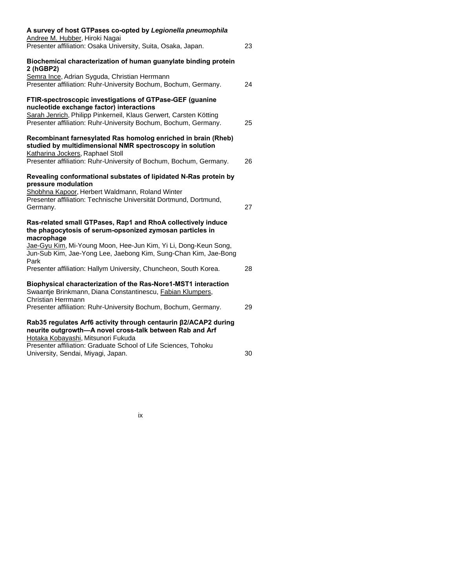| A survey of host GTPases co-opted by Legionella pneumophila<br>Andree M. Hubber, Hiroki Nagai                                                                            |    |
|--------------------------------------------------------------------------------------------------------------------------------------------------------------------------|----|
| Presenter affiliation: Osaka University, Suita, Osaka, Japan.                                                                                                            | 23 |
| Biochemical characterization of human guanylate binding protein<br>2 (hGBP2)                                                                                             |    |
| Semra Ince, Adrian Syguda, Christian Herrmann<br>Presenter affiliation: Ruhr-University Bochum, Bochum, Germany.                                                         | 24 |
| FTIR-spectroscopic investigations of GTPase-GEF (guanine<br>nucleotide exchange factor) interactions                                                                     |    |
| Sarah Jenrich, Philipp Pinkerneil, Klaus Gerwert, Carsten Kötting<br>Presenter affiliation: Ruhr-University Bochum, Bochum, Germany.                                     | 25 |
| Recombinant farnesylated Ras homolog enriched in brain (Rheb)<br>studied by multidimensional NMR spectroscopy in solution<br>Katharina Jockers, Raphael Stoll            |    |
| Presenter affiliation: Ruhr-University of Bochum, Bochum, Germany.                                                                                                       | 26 |
| Revealing conformational substates of lipidated N-Ras protein by<br>pressure modulation                                                                                  |    |
| Shobhna Kapoor, Herbert Waldmann, Roland Winter<br>Presenter affiliation: Technische Universität Dortmund, Dortmund,<br>Germany.                                         | 27 |
| Ras-related small GTPases, Rap1 and RhoA collectively induce<br>the phagocytosis of serum-opsonized zymosan particles in<br>macrophage                                   |    |
| Jae-Gyu Kim, Mi-Young Moon, Hee-Jun Kim, Yi Li, Dong-Keun Song,<br>Jun-Sub Kim, Jae-Yong Lee, Jaebong Kim, Sung-Chan Kim, Jae-Bong<br>Park                               |    |
| Presenter affiliation: Hallym University, Chuncheon, South Korea.                                                                                                        | 28 |
| Biophysical characterization of the Ras-Nore1-MST1 interaction<br>Swaantje Brinkmann, Diana Constantinescu, Fabian Klumpers,<br>Christian Herrmann                       |    |
| Presenter affiliation: Ruhr-University Bochum, Bochum, Germany.                                                                                                          | 29 |
| Rab35 regulates Arf6 activity through centaurin $\beta$ 2/ACAP2 during<br>neurite outgrowth-A novel cross-talk between Rab and Arf<br>Hotaka Kobayashi, Mitsunori Fukuda |    |
| Presenter affiliation: Graduate School of Life Sciences, Tohoku<br>University, Sendai, Miyagi, Japan.                                                                    | 30 |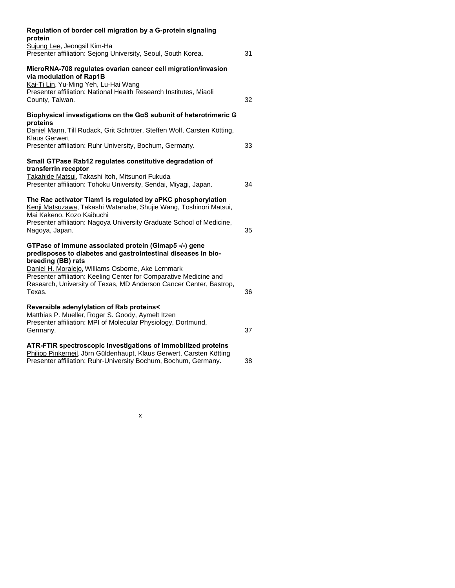| Regulation of border cell migration by a G-protein signaling<br>protein                                                                                                                                                   |    |
|---------------------------------------------------------------------------------------------------------------------------------------------------------------------------------------------------------------------------|----|
| Sujung Lee, Jeongsil Kim-Ha<br>Presenter affiliation: Sejong University, Seoul, South Korea.                                                                                                                              | 31 |
| MicroRNA-708 regulates ovarian cancer cell migration/invasion<br>via modulation of Rap1B<br>Kai-Ti Lin, Yu-Ming Yeh, Lu-Hai Wang<br>Presenter affiliation: National Health Research Institutes, Miaoli<br>County, Taiwan. | 32 |
| Biophysical investigations on the GaS subunit of heterotrimeric G<br>proteins                                                                                                                                             |    |
| Daniel Mann, Till Rudack, Grit Schröter, Steffen Wolf, Carsten Kötting,<br><b>Klaus Gerwert</b>                                                                                                                           |    |
| Presenter affiliation: Ruhr University, Bochum, Germany.                                                                                                                                                                  | 33 |
| Small GTPase Rab12 regulates constitutive degradation of<br>transferrin receptor                                                                                                                                          |    |
| Takahide Matsui, Takashi Itoh, Mitsunori Fukuda<br>Presenter affiliation: Tohoku University, Sendai, Miyagi, Japan.                                                                                                       | 34 |
| The Rac activator Tiam1 is regulated by aPKC phosphorylation<br>Kenji Matsuzawa, Takashi Watanabe, Shujie Wang, Toshinori Matsui,<br>Mai Kakeno, Kozo Kaibuchi                                                            |    |
| Presenter affiliation: Nagoya University Graduate School of Medicine,<br>Nagoya, Japan.                                                                                                                                   | 35 |
| GTPase of immune associated protein (Gimap5 -/-) gene<br>predisposes to diabetes and gastrointestinal diseases in bio-<br>breeding (BB) rats                                                                              |    |
| Daniel H. Moralejo, Williams Osborne, Ake Lernmark<br>Presenter affiliation: Keeling Center for Comparative Medicine and<br>Research, University of Texas, MD Anderson Cancer Center, Bastrop,<br>Texas.                  | 36 |
| Reversible adenylylation of Rab proteins<<br>Matthias P. Mueller, Roger S. Goody, Aymelt Itzen<br>Presenter affiliation: MPI of Molecular Physiology, Dortmund,<br>Germany.                                               | 37 |
| ATR-FTIR spectroscopic investigations of immobilized proteins<br>Philipp Pinkerneil, Jörn Güldenhaupt, Klaus Gerwert, Carsten Kötting<br>Presenter affiliation: Ruhr-University Bochum, Bochum, Germany.                  | 38 |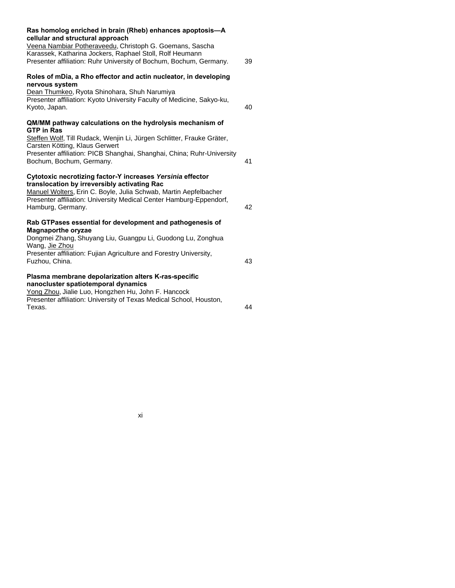| Ras homolog enriched in brain (Rheb) enhances apoptosis-A<br>cellular and structural approach                                                                                                                                                                              |    |
|----------------------------------------------------------------------------------------------------------------------------------------------------------------------------------------------------------------------------------------------------------------------------|----|
| Veena Nambiar Potheraveedu, Christoph G. Goemans, Sascha                                                                                                                                                                                                                   |    |
| Karassek, Katharina Jockers, Raphael Stoll, Rolf Heumann                                                                                                                                                                                                                   |    |
| Presenter affiliation: Ruhr University of Bochum, Bochum, Germany.                                                                                                                                                                                                         | 39 |
| Roles of mDia, a Rho effector and actin nucleator, in developing<br>nervous system                                                                                                                                                                                         |    |
| Dean Thumkeo, Ryota Shinohara, Shuh Narumiya                                                                                                                                                                                                                               |    |
| Presenter affiliation: Kyoto University Faculty of Medicine, Sakyo-ku,                                                                                                                                                                                                     |    |
| Kyoto, Japan.                                                                                                                                                                                                                                                              | 40 |
| QM/MM pathway calculations on the hydrolysis mechanism of<br><b>GTP in Ras</b>                                                                                                                                                                                             |    |
| Steffen Wolf, Till Rudack, Wenjin Li, Jürgen Schlitter, Frauke Gräter,                                                                                                                                                                                                     |    |
| Carsten Kötting, Klaus Gerwert<br>Presenter affiliation: PICB Shanghai, Shanghai, China; Ruhr-University                                                                                                                                                                   |    |
| Bochum, Bochum, Germany.                                                                                                                                                                                                                                                   | 41 |
| Cytotoxic necrotizing factor-Y increases Yersinia effector<br>translocation by irreversibly activating Rac<br>Manuel Wolters, Erin C. Boyle, Julia Schwab, Martin Aepfelbacher<br>Presenter affiliation: University Medical Center Hamburg-Eppendorf,<br>Hamburg, Germany. | 42 |
| Rab GTPases essential for development and pathogenesis of                                                                                                                                                                                                                  |    |
| <b>Magnaporthe oryzae</b>                                                                                                                                                                                                                                                  |    |
| Dongmei Zhang, Shuyang Liu, Guangpu Li, Guodong Lu, Zonghua<br>Wang, Jie Zhou                                                                                                                                                                                              |    |
| Presenter affiliation: Fujian Agriculture and Forestry University,                                                                                                                                                                                                         |    |
| Fuzhou, China.                                                                                                                                                                                                                                                             | 43 |
| Plasma membrane depolarization alters K-ras-specific<br>nanocluster spatiotemporal dynamics                                                                                                                                                                                |    |
| Yong Zhou, Jialie Luo, Hongzhen Hu, John F. Hancock                                                                                                                                                                                                                        |    |
| Presenter affiliation: University of Texas Medical School, Houston,                                                                                                                                                                                                        |    |
| Texas.                                                                                                                                                                                                                                                                     | 44 |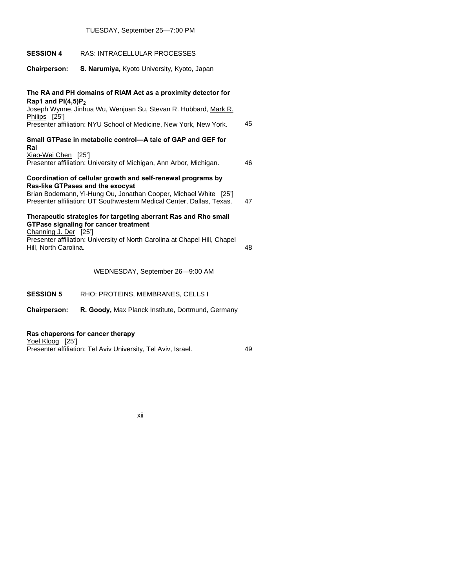| <b>SESSION 4</b>                                                                                                                                                                                                                                 | <b>RAS: INTRACELLULAR PROCESSES</b>                                 |    |
|--------------------------------------------------------------------------------------------------------------------------------------------------------------------------------------------------------------------------------------------------|---------------------------------------------------------------------|----|
| <b>Chairperson:</b>                                                                                                                                                                                                                              | S. Narumiya, Kyoto University, Kyoto, Japan                         |    |
| The RA and PH domains of RIAM Act as a proximity detector for<br>Rap1 and $PI(4,5)P_2$<br>Joseph Wynne, Jinhua Wu, Wenjuan Su, Stevan R. Hubbard, Mark R.<br>Philips [25']<br>Presenter affiliation: NYU School of Medicine, New York, New York. |                                                                     |    |
| Ral                                                                                                                                                                                                                                              | Small GTPase in metabolic control-A tale of GAP and GEF for         |    |
| Xiao-Wei Chen [25']                                                                                                                                                                                                                              | Presenter affiliation: University of Michigan, Ann Arbor, Michigan. | 46 |
| Coordination of cellular growth and self-renewal programs by<br>Ras-like GTPases and the exocyst<br>Brian Bodemann, Yi-Hung Ou, Jonathan Cooper, Michael White [25']<br>Presenter affiliation: UT Southwestern Medical Center, Dallas, Texas.    |                                                                     |    |
| Therapeutic strategies for targeting aberrant Ras and Rho small<br><b>GTPase signaling for cancer treatment</b><br>Channing J. Der [25']                                                                                                         |                                                                     |    |
| Presenter affiliation: University of North Carolina at Chapel Hill, Chapel<br>Hill, North Carolina.                                                                                                                                              |                                                                     | 48 |
|                                                                                                                                                                                                                                                  | WEDNESDAY, September 26-9:00 AM                                     |    |
| <b>SESSION 5</b>                                                                                                                                                                                                                                 | RHO: PROTEINS, MEMBRANES, CELLS I                                   |    |
| <b>Chairperson:</b>                                                                                                                                                                                                                              | R. Goody, Max Planck Institute, Dortmund, Germany                   |    |

TUESDAY, September 25—7:00 PM

# **Ras chaperons for cancer therapy**

Yoel Kloog [25'] Presenter affiliation: Tel Aviv University, Tel Aviv, Israel. 49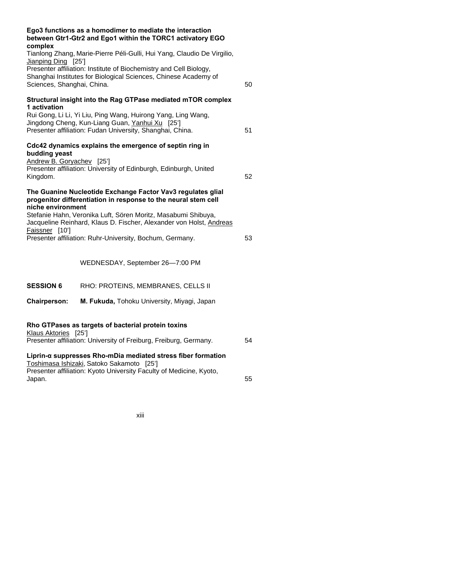| complex                                                                                                                                                             | Ego3 functions as a homodimer to mediate the interaction<br>between Gtr1-Gtr2 and Ego1 within the TORC1 activatory EGO                                                       |    |
|---------------------------------------------------------------------------------------------------------------------------------------------------------------------|------------------------------------------------------------------------------------------------------------------------------------------------------------------------------|----|
| Jianping Ding [25']                                                                                                                                                 | Tianlong Zhang, Marie-Pierre Péli-Gulli, Hui Yang, Claudio De Virgilio,                                                                                                      |    |
| Presenter affiliation: Institute of Biochemistry and Cell Biology,<br>Shanghai Institutes for Biological Sciences, Chinese Academy of<br>Sciences, Shanghai, China. |                                                                                                                                                                              | 50 |
| 1 activation                                                                                                                                                        | Structural insight into the Rag GTPase mediated mTOR complex                                                                                                                 |    |
|                                                                                                                                                                     | Rui Gong, Li Li, Yi Liu, Ping Wang, Huirong Yang, Ling Wang,<br>Jingdong Cheng, Kun-Liang Guan, Yanhui Xu [25']<br>Presenter affiliation: Fudan University, Shanghai, China. | 51 |
| budding yeast                                                                                                                                                       | Cdc42 dynamics explains the emergence of septin ring in                                                                                                                      |    |
| Andrew B. Goryachev [25']<br>Kingdom.                                                                                                                               | Presenter affiliation: University of Edinburgh, Edinburgh, United                                                                                                            | 52 |
| niche environment                                                                                                                                                   | The Guanine Nucleotide Exchange Factor Vav3 regulates glial<br>progenitor differentiation in response to the neural stem cell                                                |    |
|                                                                                                                                                                     | Stefanie Hahn, Veronika Luft, Sören Moritz, Masabumi Shibuya,<br>Jacqueline Reinhard, Klaus D. Fischer, Alexander von Holst, Andreas                                         |    |
| Faissner [10']<br>Presenter affiliation: Ruhr-University, Bochum, Germany.                                                                                          |                                                                                                                                                                              |    |
|                                                                                                                                                                     | WEDNESDAY, September 26-7:00 PM                                                                                                                                              |    |
| <b>SESSION 6</b>                                                                                                                                                    | RHO: PROTEINS, MEMBRANES, CELLS II                                                                                                                                           |    |
| <b>Chairperson:</b>                                                                                                                                                 | M. Fukuda, Tohoku University, Miyagi, Japan                                                                                                                                  |    |
| Klaus Aktories [25']                                                                                                                                                | Rho GTPases as targets of bacterial protein toxins                                                                                                                           |    |
|                                                                                                                                                                     | Presenter affiliation: University of Freiburg, Freiburg, Germany.                                                                                                            | 54 |
|                                                                                                                                                                     | Liprin- $\alpha$ suppresses Rho-mDia mediated stress fiber formation<br>Toshimasa Ishizaki, Satoko Sakamoto [25']                                                            |    |
| Japan.                                                                                                                                                              | Presenter affiliation: Kyoto University Faculty of Medicine, Kyoto,                                                                                                          | 55 |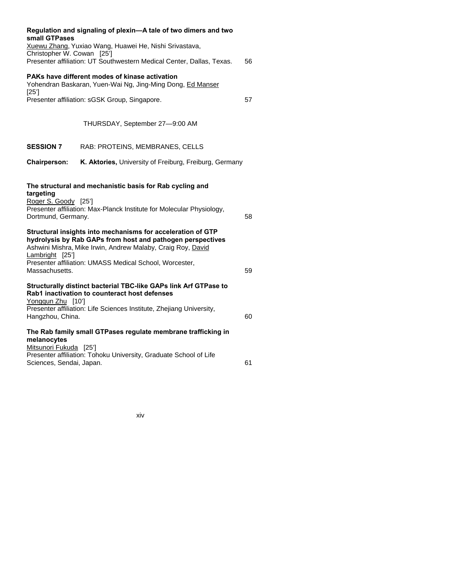| small GTPases<br>Christopher W. Cowan [25']                                | Regulation and signaling of plexin-A tale of two dimers and two<br>Xuewu Zhang, Yuxiao Wang, Huawei He, Nishi Srivastava,                                                                                                                                                                                                     |    |
|----------------------------------------------------------------------------|-------------------------------------------------------------------------------------------------------------------------------------------------------------------------------------------------------------------------------------------------------------------------------------------------------------------------------|----|
|                                                                            | Presenter affiliation: UT Southwestern Medical Center, Dallas, Texas.                                                                                                                                                                                                                                                         | 56 |
| [25]                                                                       | PAKs have different modes of kinase activation<br>Yohendran Baskaran, Yuen-Wai Ng, Jing-Ming Dong, Ed Manser                                                                                                                                                                                                                  |    |
|                                                                            | Presenter affiliation: sGSK Group, Singapore.                                                                                                                                                                                                                                                                                 | 57 |
|                                                                            | THURSDAY, September 27-9:00 AM                                                                                                                                                                                                                                                                                                |    |
| <b>SESSION 7</b>                                                           | RAB: PROTEINS, MEMBRANES, CELLS                                                                                                                                                                                                                                                                                               |    |
| <b>Chairperson:</b>                                                        | K. Aktories, University of Freiburg, Freiburg, Germany                                                                                                                                                                                                                                                                        |    |
| targeting<br>Roger S. Goody [25']<br>Dortmund, Germany.<br>Lambright [25'] | The structural and mechanistic basis for Rab cycling and<br>Presenter affiliation: Max-Planck Institute for Molecular Physiology,<br>Structural insights into mechanisms for acceleration of GTP<br>hydrolysis by Rab GAPs from host and pathogen perspectives<br>Ashwini Mishra, Mike Irwin, Andrew Malaby, Craig Roy, David | 58 |
| Massachusetts.                                                             | Presenter affiliation: UMASS Medical School, Worcester,                                                                                                                                                                                                                                                                       | 59 |
| Yongqun Zhu [10']<br>Hangzhou, China.                                      | Structurally distinct bacterial TBC-like GAPs link Arf GTPase to<br>Rab1 inactivation to counteract host defenses<br>Presenter affiliation: Life Sciences Institute, Zhejiang University,                                                                                                                                     | 60 |
| melanocytes<br>Mitsunori Fukuda [25']                                      | The Rab family small GTPases regulate membrane trafficking in                                                                                                                                                                                                                                                                 |    |
| Sciences, Sendai, Japan.                                                   | Presenter affiliation: Tohoku University, Graduate School of Life                                                                                                                                                                                                                                                             | 61 |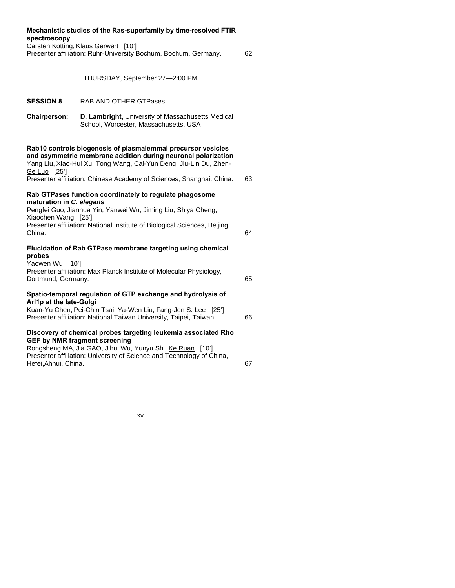| spectroscopy                                    | Mechanistic studies of the Ras-superfamily by time-resolved FTIR                                                                                                                                   |    |
|-------------------------------------------------|----------------------------------------------------------------------------------------------------------------------------------------------------------------------------------------------------|----|
|                                                 | Carsten Kötting, Klaus Gerwert [10']<br>Presenter affiliation: Ruhr-University Bochum, Bochum, Germany.                                                                                            | 62 |
|                                                 | THURSDAY, September 27-2:00 PM                                                                                                                                                                     |    |
| <b>SESSION 8</b>                                | <b>RAB AND OTHER GTPases</b>                                                                                                                                                                       |    |
| <b>Chairperson:</b>                             | D. Lambright, University of Massachusetts Medical<br>School, Worcester, Massachusetts, USA                                                                                                         |    |
| Ge Luo [25']                                    | Rab10 controls biogenesis of plasmalemmal precursor vesicles<br>and asymmetric membrane addition during neuronal polarization<br>Yang Liu, Xiao-Hui Xu, Tong Wang, Cai-Yun Deng, Jiu-Lin Du, Zhen- |    |
|                                                 | Presenter affiliation: Chinese Academy of Sciences, Shanghai, China.                                                                                                                               | 63 |
| maturation in C. elegans                        | Rab GTPases function coordinately to regulate phagosome                                                                                                                                            |    |
|                                                 | Pengfei Guo, Jianhua Yin, Yanwei Wu, Jiming Liu, Shiya Cheng,                                                                                                                                      |    |
| Xiaochen Wang [25']<br>China.                   | Presenter affiliation: National Institute of Biological Sciences, Beijing,                                                                                                                         | 64 |
|                                                 | Elucidation of Rab GTPase membrane targeting using chemical                                                                                                                                        |    |
| probes<br>Yaowen Wu [10']<br>Dortmund, Germany. | Presenter affiliation: Max Planck Institute of Molecular Physiology,                                                                                                                               | 65 |
|                                                 | Spatio-temporal regulation of GTP exchange and hydrolysis of                                                                                                                                       |    |
| Arl1p at the late-Golgi                         | Kuan-Yu Chen, Pei-Chin Tsai, Ya-Wen Liu, Fang-Jen S. Lee [25']<br>Presenter affiliation: National Taiwan University, Taipei, Taiwan.                                                               | 66 |
|                                                 | Discovery of chemical probes targeting leukemia associated Rho                                                                                                                                     |    |
| Hefei, Ahhui, China.                            | <b>GEF by NMR fragment screening</b><br>Rongsheng MA, Jia GAO, Jihui Wu, Yunyu Shi, Ke Ruan [10']<br>Presenter affiliation: University of Science and Technology of China,                         | 67 |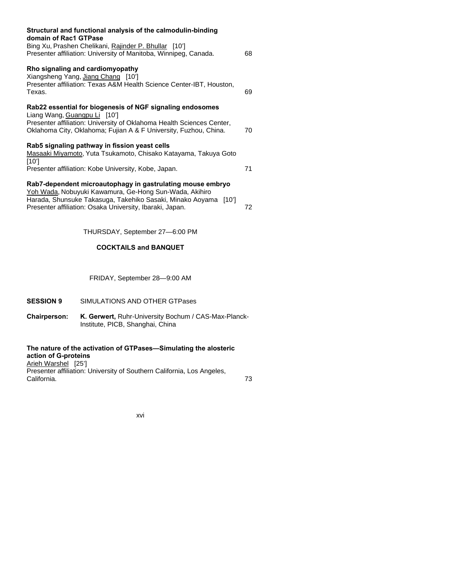| Structural and functional analysis of the calmodulin-binding<br>domain of Rac1 GTPase                                                                                                                                                               |    |
|-----------------------------------------------------------------------------------------------------------------------------------------------------------------------------------------------------------------------------------------------------|----|
| Bing Xu, Prashen Chelikani, Rajinder P. Bhullar [10']<br>Presenter affiliation: University of Manitoba, Winnipeg, Canada.                                                                                                                           | 68 |
| Rho signaling and cardiomyopathy<br>Xiangsheng Yang, Jiang Chang [10']<br>Presenter affiliation: Texas A&M Health Science Center-IBT, Houston,<br>Texas.                                                                                            | 69 |
| Rab22 essential for biogenesis of NGF signaling endosomes<br>Liang Wang, Guangpu Li [10']<br>Presenter affiliation: University of Oklahoma Health Sciences Center,<br>Oklahoma City, Oklahoma; Fujian A & F University, Fuzhou, China.              | 70 |
| Rab5 signaling pathway in fission yeast cells<br>Masaaki Miyamoto, Yuta Tsukamoto, Chisako Katayama, Takuya Goto<br>[10']<br>Presenter affiliation: Kobe University, Kobe, Japan.                                                                   | 71 |
| Rab7-dependent microautophagy in gastrulating mouse embryo<br>Yoh Wada, Nobuyuki Kawamura, Ge-Hong Sun-Wada, Akihiro<br>Harada, Shunsuke Takasuga, Takehiko Sasaki, Minako Aoyama [10']<br>Presenter affiliation: Osaka University, Ibaraki, Japan. | 72 |

THURSDAY, September 27—6:00 PM

# **COCKTAlLS and BANQUET**

FRIDAY, September 28—9:00 AM

# **SESSION 9** SIMULATIONS AND OTHER GTPases

**Chairperson: K. Gerwert,** Ruhr-University Bochum / CAS-Max-Planck- Institute, PICB, Shanghai, China

# **The nature of the activation of GTPases—Simulating the alosteric action of G-proteins**

Arieh Warshel [25'] Presenter affiliation: University of Southern California, Los Angeles,<br>California California. 73